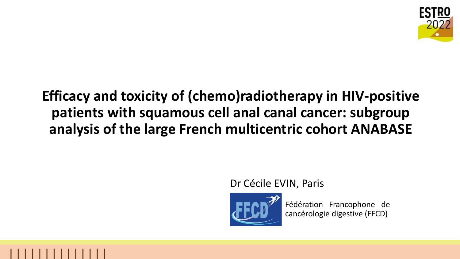

## **Efficacy and toxicity of (chemo)radiotherapy in HIV-positive patients with squamous cell anal canal cancer: subgroup analysis of the large French multicentric cohort ANABASE**

### Dr Cécile EVIN, Paris



Fédération Francophone de cancérologie digestive (FFCD)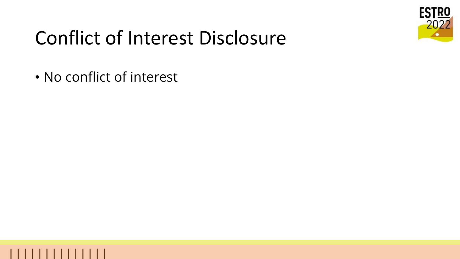

# Conflict of Interest Disclosure

• No conflict of interest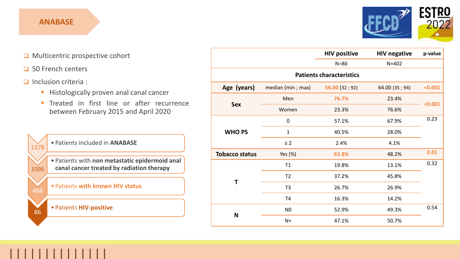#### **ANABASE**



- ❑ Multicentric prospective cohort
- ❑ 50 French centers

#### ❑ Inclusion criteria :

86

- **EXP** Histologically proven anal canal cancer
- **· Treated in first line or after recurrence** between February 2015 and April 2020



#### • Patients **HIV-positive**

|                                 |                    | <b>HIV positive</b> | <b>HIV negative</b> | p-value |
|---------------------------------|--------------------|---------------------|---------------------|---------|
|                                 |                    | $N=86$              | $N = 402$           |         |
| <b>Patients characteristics</b> |                    |                     |                     |         |
| Age (years)                     | median (min ; max) | 56.00(32; 92)       | 64.00 (35; 94)      | < 0.001 |
| <b>Sex</b>                      | Men                | 76.7%               | 23.4%               | < 0.001 |
|                                 | Women              | 23.3%               | 76.6%               |         |
| <b>WHO PS</b>                   | $\pmb{0}$          | 57.1%               | 67.9%               | 0.23    |
|                                 | $\mathbf{1}$       | 40.5%               | 28.0%               |         |
|                                 | $\geq$ 2           | 2.4%                | 4.1%                |         |
| <b>Tobacco status</b>           | Yes (%)            | 63.8%               | 48.2%               | 0.01    |
| Τ                               | T1                 | 19.8%               | 13.1%               | 0.32    |
|                                 | T <sub>2</sub>     | 37.2%               | 45.8%               |         |
|                                 | T <sub>3</sub>     | 26.7%               | 26.9%               |         |
|                                 | T <sub>4</sub>     | 16.3%               | 14.2%               |         |
| N                               | N <sub>0</sub>     | 52.9%               | 49.3%               | 0.54    |
|                                 | $N+$               | 47.1%               | 50.7%               |         |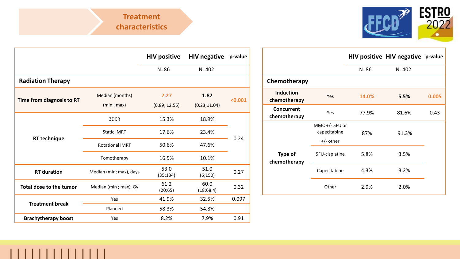

|                            |                         | <b>HIV positive</b> | <b>HIV negative</b> | p-value |  |
|----------------------------|-------------------------|---------------------|---------------------|---------|--|
|                            |                         | $N = 86$            | $N = 402$           |         |  |
| <b>Radiation Therapy</b>   |                         |                     |                     |         |  |
|                            | Median (months)         | 2.27                | 1.87                | < 0.001 |  |
| Time from diagnosis to RT  | (min; max)              | (0.89; 12.55)       | (0.23; 11.04)       |         |  |
|                            | 3DCR                    | 15.3%               | 18.9%               |         |  |
|                            | <b>Static IMRT</b>      | 17.6%               | 23.4%               |         |  |
| <b>RT</b> technique        | <b>Rotational IMRT</b>  | 50.6%               | 47.6%               | 0.24    |  |
|                            | Tomotherapy             | 16.5%               | 10.1%               |         |  |
| <b>RT</b> duration         | Median (min; max), days | 53.0<br>(35;134)    | 51.0<br>(6;150)     | 0.27    |  |
| Total dose to the tumor    | Median (min; max), Gy   | 61.2<br>(20;65)     | 60.0<br>(18,68.4)   | 0.32    |  |
| <b>Treatment break</b>     | Yes                     | 41.9%               | 32.5%               | 0.097   |  |
|                            | Planned                 | 58.3%               | 54.8%               |         |  |
| <b>Brachytherapy boost</b> | Yes                     | 8.2%                | 7.9%                | 0.91    |  |
|                            |                         |                     |                     |         |  |

11 11 11 11 11 11 11 1

|                                  |                                                 |          | HIV positive HIV negative p-value |       |
|----------------------------------|-------------------------------------------------|----------|-----------------------------------|-------|
|                                  |                                                 | $N = 86$ | $N = 402$                         |       |
| Chemotherapy                     |                                                 |          |                                   |       |
| <b>Induction</b><br>chemotherapy | Yes                                             | 14.0%    | 5.5%                              | 0.005 |
| Concurrent<br>chemotherapy       | Yes                                             | 77.9%    | 81.6%                             | 0.43  |
|                                  | MMC $+/-$ 5FU or<br>capecitabine<br>$+/-$ other | 87%      | 91.3%                             |       |
| <b>Type of</b><br>chemotherapy   | 5FU-cisplatine                                  | 5.8%     | 3.5%                              |       |
|                                  | Capecitabine                                    | 4.3%     | 3.2%                              |       |
|                                  | Other                                           | 2.9%     | 2.0%                              |       |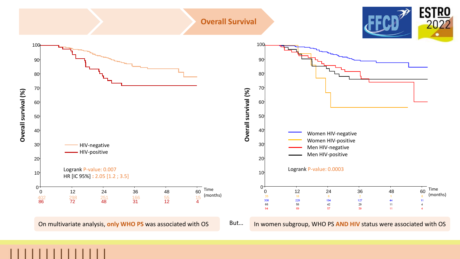#### **Overall Survival**





On multivariate analysis, only WHO PS was associated with OS But... In women subgroup, WHO PS AND HIV status were associated with OS